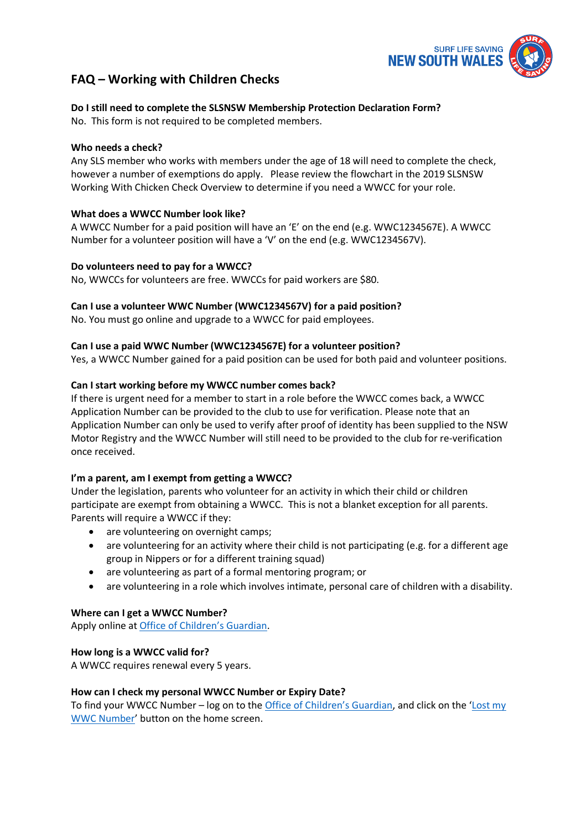

# **FAQ – Working with Children Checks**

## **Do I still need to complete the SLSNSW Membership Protection Declaration Form?**

No. This form is not required to be completed members.

## **Who needs a check?**

Any SLS member who works with members under the age of 18 will need to complete the check, however a number of exemptions do apply. Please review the flowchart in the 2019 SLSNSW Working With Chicken Check Overview to determine if you need a WWCC for your role.

## **What does a WWCC Number look like?**

A WWCC Number for a paid position will have an 'E' on the end (e.g. WWC1234567E). A WWCC Number for a volunteer position will have a 'V' on the end (e.g. WWC1234567V).

## **Do volunteers need to pay for a WWCC?**

No, WWCCs for volunteers are free. WWCCs for paid workers are \$80.

## **Can I use a volunteer WWC Number (WWC1234567V) for a paid position?**

No. You must go online and upgrade to a WWCC for paid employees.

## **Can I use a paid WWC Number (WWC1234567E) for a volunteer position?**

Yes, a WWCC Number gained for a paid position can be used for both paid and volunteer positions.

## **Can I start working before my WWCC number comes back?**

If there is urgent need for a member to start in a role before the WWCC comes back, a WWCC Application Number can be provided to the club to use for verification. Please note that an Application Number can only be used to verify after proof of identity has been supplied to the NSW Motor Registry and the WWCC Number will still need to be provided to the club for re-verification once received.

#### **I'm a parent, am I exempt from getting a WWCC?**

Under the legislation, parents who volunteer for an activity in which their child or children participate are exempt from obtaining a WWCC. This is not a blanket exception for all parents. Parents will require a WWCC if they:

- are volunteering on overnight camps;
- are volunteering for an activity where their child is not participating (e.g. for a different age group in Nippers or for a different training squad)
- are volunteering as part of a formal mentoring program; or
- are volunteering in a role which involves intimate, personal care of children with a disability.

#### **Where can I get a WWCC Number?**

Apply online at [Office of Children's Guardian](https://www.kidsguardian.nsw.gov.au/child-safe-organisations/working-with-children-check).

#### **How long is a WWCC valid for?**

A WWCC requires renewal every 5 years.

#### **How can I check my personal WWCC Number or Expiry Date?**

To find your WWCC Number – log on to the [Office of Children's Guardian](https://www.kidsguardian.nsw.gov.au/child-safe-organisations/working-with-children-check), and click on the '[Lost my](https://wwccheck.ccyp.nsw.gov.au/Applicants/Retrieve)  [WWC Number](https://wwccheck.ccyp.nsw.gov.au/Applicants/Retrieve)' button on the home screen.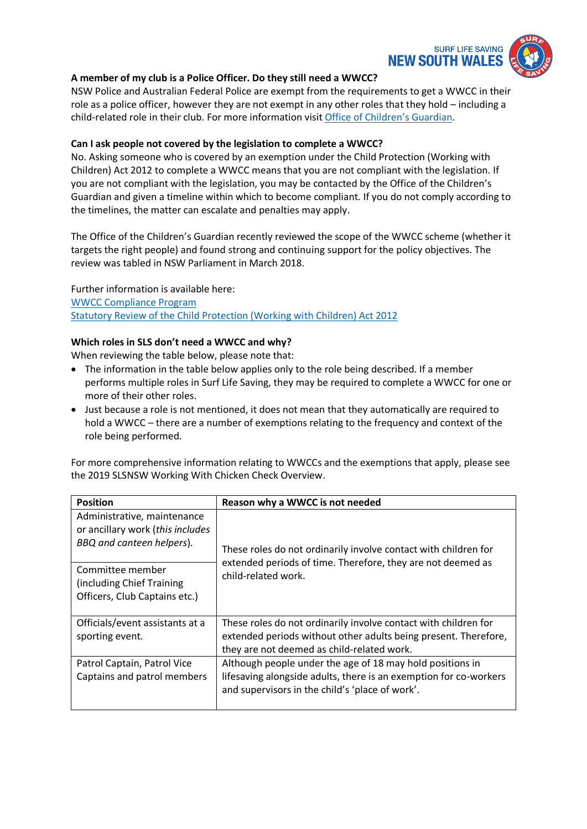

## **A member of my club is a Police Officer. Do they still need a WWCC?**

NSW Police and Australian Federal Police are exempt from the requirements to get a WWCC in their role as a police officer, however they are not exempt in any other roles that they hold – including a child-related role in their club. For more information visit [Office of Children's Guardian](https://www.kidsguardian.nsw.gov.au/child-safe-organisations/working-with-children-check).

#### **Can I ask people not covered by the legislation to complete a WWCC?**

No. Asking someone who is covered by an exemption under the Child Protection (Working with Children) Act 2012 to complete a WWCC means that you are not compliant with the legislation. If you are not compliant with the legislation, you may be contacted by the Office of the Children's Guardian and given a timeline within which to become compliant. If you do not comply according to the timelines, the matter can escalate and penalties may apply.

The Office of the Children's Guardian recently reviewed the scope of the WWCC scheme (whether it targets the right people) and found strong and continuing support for the policy objectives. The review was tabled in NSW Parliament in March 2018.

Further information is available here: [WWCC Compliance Program](https://www.kidsguardian.nsw.gov.au/child-safe-organisations/working-with-children-check/compliance-program) [Statutory Review of the Child Protection \(Working with Children\) Act 2012](https://www.kidsguardian.nsw.gov.au/about-us/news/new-report-outlines-key-elements-of-a-child-safe-regulatory-model-in-nsw)

#### **Which roles in SLS don't need a WWCC and why?**

When reviewing the table below, please note that:

- The information in the table below applies only to the role being described. If a member performs multiple roles in Surf Life Saving, they may be required to complete a WWCC for one or more of their other roles.
- Just because a role is not mentioned, it does not mean that they automatically are required to hold a WWCC – there are a number of exemptions relating to the frequency and context of the role being performed.

For more comprehensive information relating to WWCCs and the exemptions that apply, please see the 2019 SLSNSW Working With Chicken Check Overview.

| <b>Position</b>                                                                              | Reason why a WWCC is not needed                                                                                                                                                   |
|----------------------------------------------------------------------------------------------|-----------------------------------------------------------------------------------------------------------------------------------------------------------------------------------|
| Administrative, maintenance<br>or ancillary work (this includes<br>BBQ and canteen helpers). | These roles do not ordinarily involve contact with children for                                                                                                                   |
| Committee member<br>(including Chief Training)<br>Officers, Club Captains etc.)              | extended periods of time. Therefore, they are not deemed as<br>child-related work.                                                                                                |
| Officials/event assistants at a<br>sporting event.                                           | These roles do not ordinarily involve contact with children for<br>extended periods without other adults being present. Therefore,<br>they are not deemed as child-related work.  |
| Patrol Captain, Patrol Vice<br>Captains and patrol members                                   | Although people under the age of 18 may hold positions in<br>lifesaving alongside adults, there is an exemption for co-workers<br>and supervisors in the child's 'place of work'. |